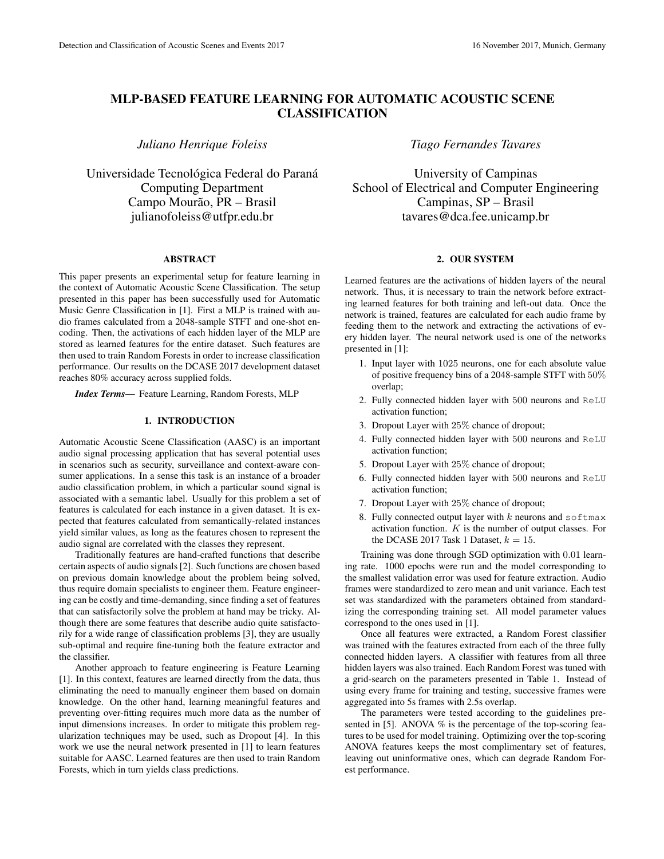# MLP-BASED FEATURE LEARNING FOR AUTOMATIC ACOUSTIC SCENE CLASSIFICATION

*Juliano Henrique Foleiss*

Universidade Tecnológica Federal do Paraná Computing Department Campo Mourão, PR - Brasil julianofoleiss@utfpr.edu.br

### ABSTRACT

This paper presents an experimental setup for feature learning in the context of Automatic Acoustic Scene Classification. The setup presented in this paper has been successfully used for Automatic Music Genre Classification in [1]. First a MLP is trained with audio frames calculated from a 2048-sample STFT and one-shot encoding. Then, the activations of each hidden layer of the MLP are stored as learned features for the entire dataset. Such features are then used to train Random Forests in order to increase classification performance. Our results on the DCASE 2017 development dataset reaches 80% accuracy across supplied folds.

*Index Terms*— Feature Learning, Random Forests, MLP

### 1. INTRODUCTION

Automatic Acoustic Scene Classification (AASC) is an important audio signal processing application that has several potential uses in scenarios such as security, surveillance and context-aware consumer applications. In a sense this task is an instance of a broader audio classification problem, in which a particular sound signal is associated with a semantic label. Usually for this problem a set of features is calculated for each instance in a given dataset. It is expected that features calculated from semantically-related instances yield similar values, as long as the features chosen to represent the audio signal are correlated with the classes they represent.

Traditionally features are hand-crafted functions that describe certain aspects of audio signals [2]. Such functions are chosen based on previous domain knowledge about the problem being solved, thus require domain specialists to engineer them. Feature engineering can be costly and time-demanding, since finding a set of features that can satisfactorily solve the problem at hand may be tricky. Although there are some features that describe audio quite satisfactorily for a wide range of classification problems [3], they are usually sub-optimal and require fine-tuning both the feature extractor and the classifier.

Another approach to feature engineering is Feature Learning [1]. In this context, features are learned directly from the data, thus eliminating the need to manually engineer them based on domain knowledge. On the other hand, learning meaningful features and preventing over-fitting requires much more data as the number of input dimensions increases. In order to mitigate this problem regularization techniques may be used, such as Dropout [4]. In this work we use the neural network presented in [1] to learn features suitable for AASC. Learned features are then used to train Random Forests, which in turn yields class predictions.

# *Tiago Fernandes Tavares*

University of Campinas School of Electrical and Computer Engineering Campinas, SP – Brasil tavares@dca.fee.unicamp.br

# 2. OUR SYSTEM

Learned features are the activations of hidden layers of the neural network. Thus, it is necessary to train the network before extracting learned features for both training and left-out data. Once the network is trained, features are calculated for each audio frame by feeding them to the network and extracting the activations of every hidden layer. The neural network used is one of the networks presented in [1]:

- 1. Input layer with 1025 neurons, one for each absolute value of positive frequency bins of a 2048-sample STFT with 50% overlap;
- 2. Fully connected hidden layer with 500 neurons and ReLU activation function;
- 3. Dropout Layer with 25% chance of dropout;
- 4. Fully connected hidden layer with 500 neurons and ReLU activation function;
- 5. Dropout Layer with 25% chance of dropout;
- 6. Fully connected hidden layer with 500 neurons and ReLU activation function;
- 7. Dropout Layer with 25% chance of dropout;
- 8. Fully connected output layer with  $k$  neurons and softmax activation function.  $K$  is the number of output classes. For the DCASE 2017 Task 1 Dataset,  $k = 15$ .

Training was done through SGD optimization with 0.01 learning rate. 1000 epochs were run and the model corresponding to the smallest validation error was used for feature extraction. Audio frames were standardized to zero mean and unit variance. Each test set was standardized with the parameters obtained from standardizing the corresponding training set. All model parameter values correspond to the ones used in [1].

Once all features were extracted, a Random Forest classifier was trained with the features extracted from each of the three fully connected hidden layers. A classifier with features from all three hidden layers was also trained. Each Random Forest was tuned with a grid-search on the parameters presented in Table 1. Instead of using every frame for training and testing, successive frames were aggregated into 5s frames with 2.5s overlap.

The parameters were tested according to the guidelines presented in [5]. ANOVA  $\%$  is the percentage of the top-scoring features to be used for model training. Optimizing over the top-scoring ANOVA features keeps the most complimentary set of features, leaving out uninformative ones, which can degrade Random Forest performance.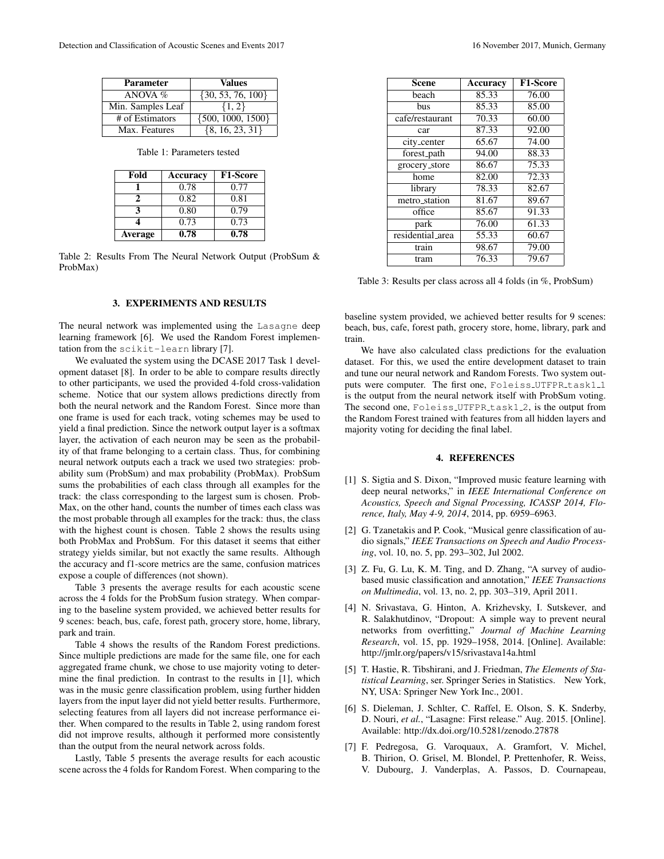| <b>Parameter</b>  | Values                |
|-------------------|-----------------------|
| ANOVA $%$         | $\{30, 53, 76, 100\}$ |
| Min. Samples Leaf | $\{1, 2\}$            |
| # of Estimators   | $\{500, 1000, 1500\}$ |
| Max. Features     | $\{8, 16, 23, 31\}$   |

Table 1: Parameters tested

| Fold           | Accuracy | <b>F1-Score</b> |
|----------------|----------|-----------------|
|                | 0.78     | 0.77            |
| 2              | 0.82     | 0.81            |
| 3              | 0.80     | 0.79            |
|                | 0.73     | 0.73            |
| <b>Average</b> | 0.78     | 0.78            |

Table 2: Results From The Neural Network Output (ProbSum & ProbMax)

### 3. EXPERIMENTS AND RESULTS

The neural network was implemented using the Lasagne deep learning framework [6]. We used the Random Forest implementation from the scikit-learn library [7].

We evaluated the system using the DCASE 2017 Task 1 development dataset [8]. In order to be able to compare results directly to other participants, we used the provided 4-fold cross-validation scheme. Notice that our system allows predictions directly from both the neural network and the Random Forest. Since more than one frame is used for each track, voting schemes may be used to yield a final prediction. Since the network output layer is a softmax layer, the activation of each neuron may be seen as the probability of that frame belonging to a certain class. Thus, for combining neural network outputs each a track we used two strategies: probability sum (ProbSum) and max probability (ProbMax). ProbSum sums the probabilities of each class through all examples for the track: the class corresponding to the largest sum is chosen. Prob-Max, on the other hand, counts the number of times each class was the most probable through all examples for the track: thus, the class with the highest count is chosen. Table 2 shows the results using both ProbMax and ProbSum. For this dataset it seems that either strategy yields similar, but not exactly the same results. Although the accuracy and f1-score metrics are the same, confusion matrices expose a couple of differences (not shown).

Table 3 presents the average results for each acoustic scene across the 4 folds for the ProbSum fusion strategy. When comparing to the baseline system provided, we achieved better results for 9 scenes: beach, bus, cafe, forest path, grocery store, home, library, park and train.

Table 4 shows the results of the Random Forest predictions. Since multiple predictions are made for the same file, one for each aggregated frame chunk, we chose to use majority voting to determine the final prediction. In contrast to the results in [1], which was in the music genre classification problem, using further hidden layers from the input layer did not yield better results. Furthermore, selecting features from all layers did not increase performance either. When compared to the results in Table 2, using random forest did not improve results, although it performed more consistently than the output from the neural network across folds.

Lastly, Table 5 presents the average results for each acoustic scene across the 4 folds for Random Forest. When comparing to the

| <b>Scene</b>     | Accuracy | <b>F1-Score</b> |
|------------------|----------|-----------------|
| beach            | 85.33    | 76.00           |
| bus              | 85.33    | 85.00           |
| cafe/restaurant  | 70.33    | 60.00           |
| car              | 87.33    | 92.00           |
| city_center      | 65.67    | 74.00           |
| forest_path      | 94.00    | 88.33           |
| grocery_store    | 86.67    | 75.33           |
| home             | 82.00    | 72.33           |
| library          | 78.33    | 82.67           |
| metro_station    | 81.67    | 89.67           |
| office           | 85.67    | 91.33           |
| park             | 76.00    | 61.33           |
| residential_area | 55.33    | 60.67           |
| train            | 98.67    | 79.00           |
| tram             | 76.33    | 79.67           |

Table 3: Results per class across all 4 folds (in %, ProbSum)

baseline system provided, we achieved better results for 9 scenes: beach, bus, cafe, forest path, grocery store, home, library, park and train.

We have also calculated class predictions for the evaluation dataset. For this, we used the entire development dataset to train and tune our neural network and Random Forests. Two system outputs were computer. The first one, Foleiss\_UTFPR\_task1\_1 is the output from the neural network itself with ProbSum voting. The second one, Foleiss UTFPR task1.2, is the output from the Random Forest trained with features from all hidden layers and majority voting for deciding the final label.

## 4. REFERENCES

- [1] S. Sigtia and S. Dixon, "Improved music feature learning with deep neural networks," in *IEEE International Conference on Acoustics, Speech and Signal Processing, ICASSP 2014, Florence, Italy, May 4-9, 2014*, 2014, pp. 6959–6963.
- [2] G. Tzanetakis and P. Cook, "Musical genre classification of audio signals," *IEEE Transactions on Speech and Audio Processing*, vol. 10, no. 5, pp. 293–302, Jul 2002.
- [3] Z. Fu, G. Lu, K. M. Ting, and D. Zhang, "A survey of audiobased music classification and annotation," *IEEE Transactions on Multimedia*, vol. 13, no. 2, pp. 303–319, April 2011.
- [4] N. Srivastava, G. Hinton, A. Krizhevsky, I. Sutskever, and R. Salakhutdinov, "Dropout: A simple way to prevent neural networks from overfitting," *Journal of Machine Learning Research*, vol. 15, pp. 1929–1958, 2014. [Online]. Available: http://jmlr.org/papers/v15/srivastava14a.html
- [5] T. Hastie, R. Tibshirani, and J. Friedman, *The Elements of Statistical Learning*, ser. Springer Series in Statistics. New York, NY, USA: Springer New York Inc., 2001.
- [6] S. Dieleman, J. Schlter, C. Raffel, E. Olson, S. K. Snderby, D. Nouri, *et al.*, "Lasagne: First release." Aug. 2015. [Online]. Available: http://dx.doi.org/10.5281/zenodo.27878
- [7] F. Pedregosa, G. Varoquaux, A. Gramfort, V. Michel, B. Thirion, O. Grisel, M. Blondel, P. Prettenhofer, R. Weiss, V. Dubourg, J. Vanderplas, A. Passos, D. Cournapeau,